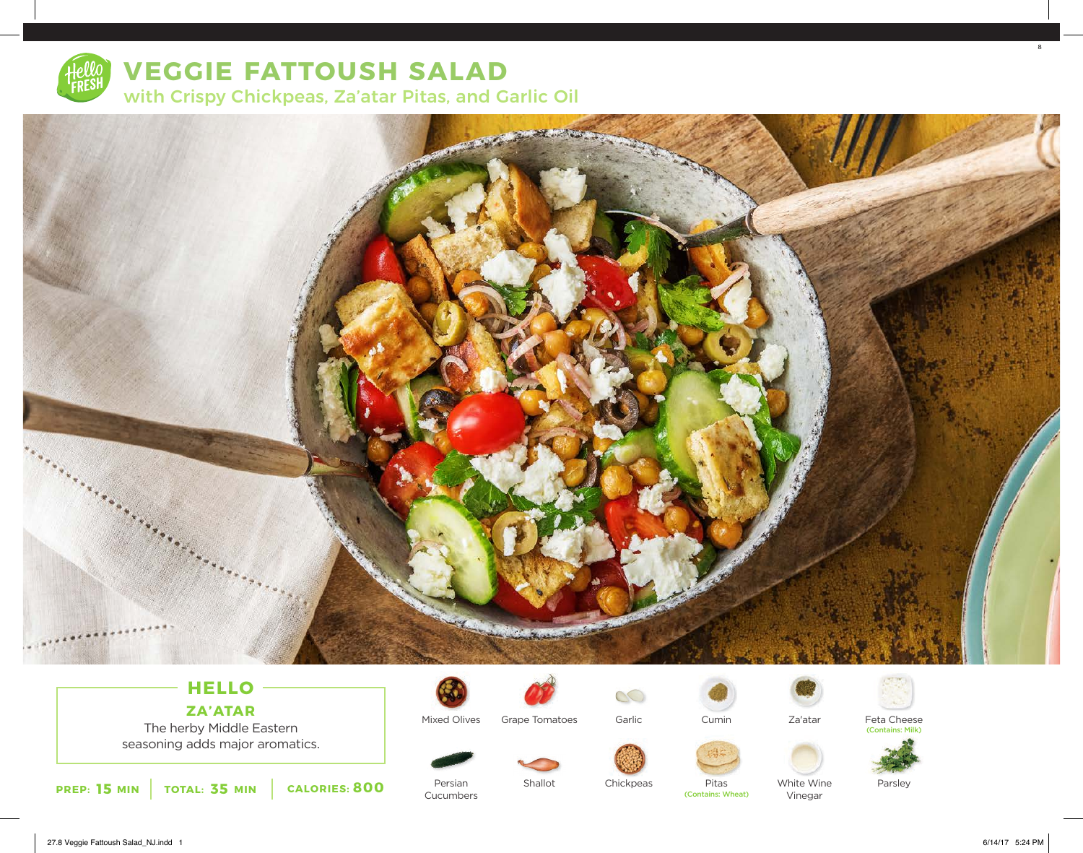

# **VEGGIE FATTOUSH SALAD** with Crispy Chickpeas, Za'atar Pitas, and Garlic Oil



## **HELLO ZA'ATAR**

The herby Middle Eastern seasoning adds major aromatics.



Persian Cucumbers

Mixed Olives



Shallot

Garlic

Chickpeas



Cumin

Pitas

(Contains: Wheat)



Feta Cheese (Contains: Milk)



White Wine Vinegar

Parsley

8